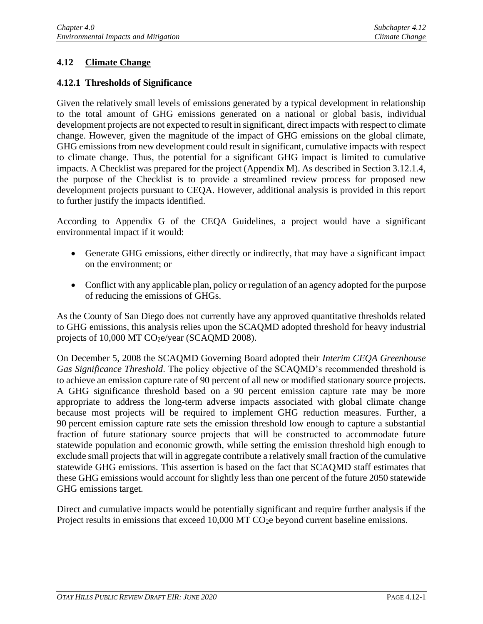## **4.12 Climate Change**

## **4.12.1 Thresholds of Significance**

Given the relatively small levels of emissions generated by a typical development in relationship to the total amount of GHG emissions generated on a national or global basis, individual development projects are not expected to result in significant, direct impacts with respect to climate change. However, given the magnitude of the impact of GHG emissions on the global climate, GHG emissions from new development could result in significant, cumulative impacts with respect to climate change. Thus, the potential for a significant GHG impact is limited to cumulative impacts. A Checklist was prepared for the project (Appendix M). As described in Section 3.12.1.4, the purpose of the Checklist is to provide a streamlined review process for proposed new development projects pursuant to CEQA. However, additional analysis is provided in this report to further justify the impacts identified.

According to Appendix G of the CEQA Guidelines, a project would have a significant environmental impact if it would:

- Generate GHG emissions, either directly or indirectly, that may have a significant impact on the environment; or
- Conflict with any applicable plan, policy or regulation of an agency adopted for the purpose of reducing the emissions of GHGs.

As the County of San Diego does not currently have any approved quantitative thresholds related to GHG emissions, this analysis relies upon the SCAQMD adopted threshold for heavy industrial projects of 10,000 MT CO<sub>2</sub>e/year (SCAQMD 2008).

On December 5, 2008 the SCAQMD Governing Board adopted their *Interim CEQA Greenhouse Gas Significance Threshold*. The policy objective of the SCAQMD's recommended threshold is to achieve an emission capture rate of 90 percent of all new or modified stationary source projects. A GHG significance threshold based on a 90 percent emission capture rate may be more appropriate to address the long-term adverse impacts associated with global climate change because most projects will be required to implement GHG reduction measures. Further, a 90 percent emission capture rate sets the emission threshold low enough to capture a substantial fraction of future stationary source projects that will be constructed to accommodate future statewide population and economic growth, while setting the emission threshold high enough to exclude small projects that will in aggregate contribute a relatively small fraction of the cumulative statewide GHG emissions. This assertion is based on the fact that SCAQMD staff estimates that these GHG emissions would account for slightly less than one percent of the future 2050 statewide GHG emissions target.

Direct and cumulative impacts would be potentially significant and require further analysis if the Project results in emissions that exceed 10,000 MT CO<sub>2</sub>e beyond current baseline emissions.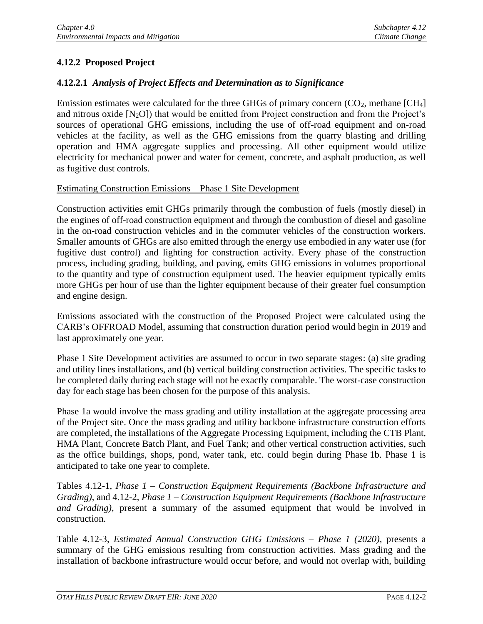# **4.12.2 Proposed Project**

## **4.12.2.1** *Analysis of Project Effects and Determination as to Significance*

Emission estimates were calculated for the three GHGs of primary concern  $(CO_2)$ , methane [CH<sub>4</sub>] and nitrous oxide  $[N_2O]$ ) that would be emitted from Project construction and from the Project's sources of operational GHG emissions, including the use of off-road equipment and on-road vehicles at the facility, as well as the GHG emissions from the quarry blasting and drilling operation and HMA aggregate supplies and processing. All other equipment would utilize electricity for mechanical power and water for cement, concrete, and asphalt production, as well as fugitive dust controls.

#### Estimating Construction Emissions – Phase 1 Site Development

Construction activities emit GHGs primarily through the combustion of fuels (mostly diesel) in the engines of off-road construction equipment and through the combustion of diesel and gasoline in the on-road construction vehicles and in the commuter vehicles of the construction workers. Smaller amounts of GHGs are also emitted through the energy use embodied in any water use (for fugitive dust control) and lighting for construction activity. Every phase of the construction process, including grading, building, and paving, emits GHG emissions in volumes proportional to the quantity and type of construction equipment used. The heavier equipment typically emits more GHGs per hour of use than the lighter equipment because of their greater fuel consumption and engine design.

Emissions associated with the construction of the Proposed Project were calculated using the CARB's OFFROAD Model, assuming that construction duration period would begin in 2019 and last approximately one year.

Phase 1 Site Development activities are assumed to occur in two separate stages: (a) site grading and utility lines installations, and (b) vertical building construction activities. The specific tasks to be completed daily during each stage will not be exactly comparable. The worst-case construction day for each stage has been chosen for the purpose of this analysis.

Phase 1a would involve the mass grading and utility installation at the aggregate processing area of the Project site. Once the mass grading and utility backbone infrastructure construction efforts are completed, the installations of the Aggregate Processing Equipment, including the CTB Plant, HMA Plant, Concrete Batch Plant, and Fuel Tank; and other vertical construction activities, such as the office buildings, shops, pond, water tank, etc. could begin during Phase 1b. Phase 1 is anticipated to take one year to complete.

Tables 4.12-1, *Phase 1 – Construction Equipment Requirements (Backbone Infrastructure and Grading)*, and 4.12-2, *Phase 1 – Construction Equipment Requirements (Backbone Infrastructure and Grading)*, present a summary of the assumed equipment that would be involved in construction.

Table 4.12-3, *Estimated Annual Construction GHG Emissions – Phase 1 (2020),* presents a summary of the GHG emissions resulting from construction activities. Mass grading and the installation of backbone infrastructure would occur before, and would not overlap with, building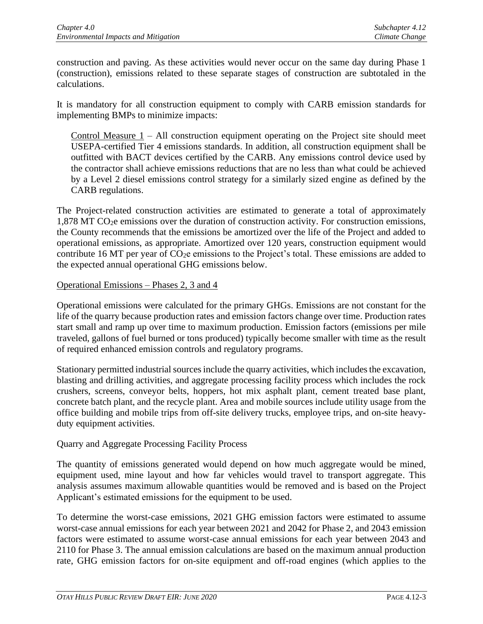construction and paving. As these activities would never occur on the same day during Phase 1 (construction), emissions related to these separate stages of construction are subtotaled in the calculations.

It is mandatory for all construction equipment to comply with CARB emission standards for implementing BMPs to minimize impacts:

Control Measure  $1 - All construction equipment operating on the Project site should meet$ USEPA-certified Tier 4 emissions standards. In addition, all construction equipment shall be outfitted with BACT devices certified by the CARB. Any emissions control device used by the contractor shall achieve emissions reductions that are no less than what could be achieved by a Level 2 diesel emissions control strategy for a similarly sized engine as defined by the CARB regulations.

The Project-related construction activities are estimated to generate a total of approximately 1,878 MT CO2e emissions over the duration of construction activity. For construction emissions, the County recommends that the emissions be amortized over the life of the Project and added to operational emissions, as appropriate. Amortized over 120 years, construction equipment would contribute 16 MT per year of CO<sub>2</sub>e emissions to the Project's total. These emissions are added to the expected annual operational GHG emissions below.

## Operational Emissions – Phases 2, 3 and 4

Operational emissions were calculated for the primary GHGs. Emissions are not constant for the life of the quarry because production rates and emission factors change over time. Production rates start small and ramp up over time to maximum production. Emission factors (emissions per mile traveled, gallons of fuel burned or tons produced) typically become smaller with time as the result of required enhanced emission controls and regulatory programs.

Stationary permitted industrial sources include the quarry activities, which includes the excavation, blasting and drilling activities, and aggregate processing facility process which includes the rock crushers, screens, conveyor belts, hoppers, hot mix asphalt plant, cement treated base plant, concrete batch plant, and the recycle plant. Area and mobile sources include utility usage from the office building and mobile trips from off-site delivery trucks, employee trips, and on-site heavyduty equipment activities.

## Quarry and Aggregate Processing Facility Process

The quantity of emissions generated would depend on how much aggregate would be mined, equipment used, mine layout and how far vehicles would travel to transport aggregate. This analysis assumes maximum allowable quantities would be removed and is based on the Project Applicant's estimated emissions for the equipment to be used.

To determine the worst-case emissions, 2021 GHG emission factors were estimated to assume worst-case annual emissions for each year between 2021 and 2042 for Phase 2, and 2043 emission factors were estimated to assume worst-case annual emissions for each year between 2043 and 2110 for Phase 3. The annual emission calculations are based on the maximum annual production rate, GHG emission factors for on-site equipment and off-road engines (which applies to the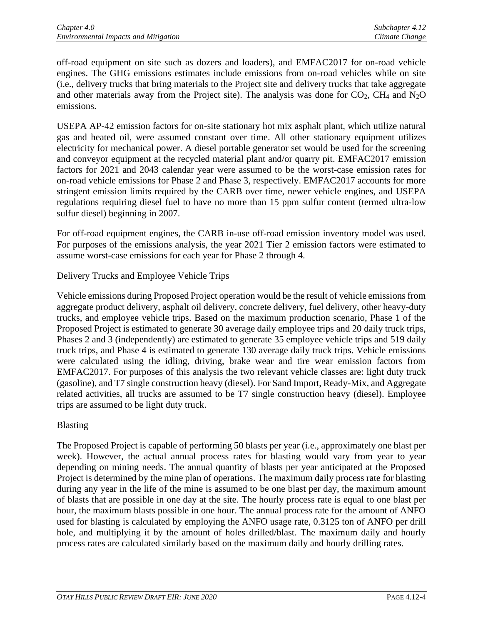off-road equipment on site such as dozers and loaders), and EMFAC2017 for on-road vehicle engines. The GHG emissions estimates include emissions from on-road vehicles while on site (i.e., delivery trucks that bring materials to the Project site and delivery trucks that take aggregate and other materials away from the Project site). The analysis was done for  $CO<sub>2</sub>$ , CH<sub>4</sub> and N<sub>2</sub>O emissions.

USEPA AP-42 emission factors for on-site stationary hot mix asphalt plant, which utilize natural gas and heated oil, were assumed constant over time. All other stationary equipment utilizes electricity for mechanical power. A diesel portable generator set would be used for the screening and conveyor equipment at the recycled material plant and/or quarry pit. EMFAC2017 emission factors for 2021 and 2043 calendar year were assumed to be the worst-case emission rates for on-road vehicle emissions for Phase 2 and Phase 3, respectively. EMFAC2017 accounts for more stringent emission limits required by the CARB over time, newer vehicle engines, and USEPA regulations requiring diesel fuel to have no more than 15 ppm sulfur content (termed ultra-low sulfur diesel) beginning in 2007.

For off-road equipment engines, the CARB in-use off-road emission inventory model was used. For purposes of the emissions analysis, the year 2021 Tier 2 emission factors were estimated to assume worst-case emissions for each year for Phase 2 through 4.

Delivery Trucks and Employee Vehicle Trips

Vehicle emissions during Proposed Project operation would be the result of vehicle emissions from aggregate product delivery, asphalt oil delivery, concrete delivery, fuel delivery, other heavy-duty trucks, and employee vehicle trips. Based on the maximum production scenario, Phase 1 of the Proposed Project is estimated to generate 30 average daily employee trips and 20 daily truck trips, Phases 2 and 3 (independently) are estimated to generate 35 employee vehicle trips and 519 daily truck trips, and Phase 4 is estimated to generate 130 average daily truck trips. Vehicle emissions were calculated using the idling, driving, brake wear and tire wear emission factors from EMFAC2017. For purposes of this analysis the two relevant vehicle classes are: light duty truck (gasoline), and T7 single construction heavy (diesel). For Sand Import, Ready-Mix, and Aggregate related activities, all trucks are assumed to be T7 single construction heavy (diesel). Employee trips are assumed to be light duty truck.

Blasting

The Proposed Project is capable of performing 50 blasts per year (i.e., approximately one blast per week). However, the actual annual process rates for blasting would vary from year to year depending on mining needs. The annual quantity of blasts per year anticipated at the Proposed Project is determined by the mine plan of operations. The maximum daily process rate for blasting during any year in the life of the mine is assumed to be one blast per day, the maximum amount of blasts that are possible in one day at the site. The hourly process rate is equal to one blast per hour, the maximum blasts possible in one hour. The annual process rate for the amount of ANFO used for blasting is calculated by employing the ANFO usage rate, 0.3125 ton of ANFO per drill hole, and multiplying it by the amount of holes drilled/blast. The maximum daily and hourly process rates are calculated similarly based on the maximum daily and hourly drilling rates.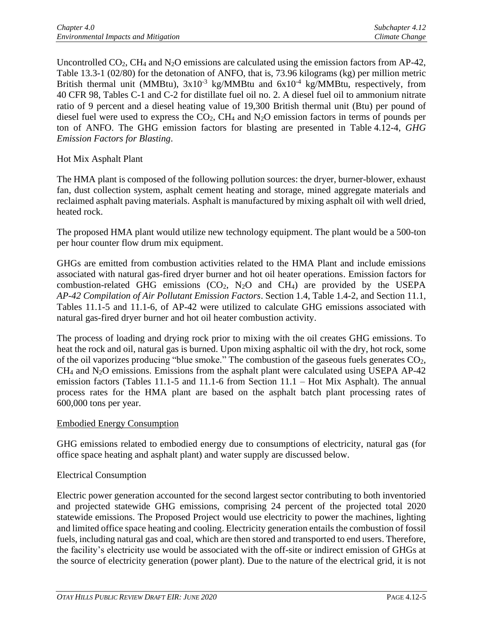Uncontrolled  $CO<sub>2</sub>$ , CH<sub>4</sub> and N<sub>2</sub>O emissions are calculated using the emission factors from AP-42, Table 13.3-1 (02/80) for the detonation of ANFO, that is, 73.96 kilograms (kg) per million metric British thermal unit (MMBtu),  $3x10^{-3}$  kg/MMBtu and  $6x10^{-4}$  kg/MMBtu, respectively, from 40 CFR 98, Tables C-1 and C-2 for distillate fuel oil no. 2. A diesel fuel oil to ammonium nitrate ratio of 9 percent and a diesel heating value of 19,300 British thermal unit (Btu) per pound of diesel fuel were used to express the  $CO<sub>2</sub>$ , CH<sub>4</sub> and N<sub>2</sub>O emission factors in terms of pounds per ton of ANFO. The GHG emission factors for blasting are presented in Table 4.12-4, *GHG Emission Factors for Blasting*.

## Hot Mix Asphalt Plant

The HMA plant is composed of the following pollution sources: the dryer, burner-blower, exhaust fan, dust collection system, asphalt cement heating and storage, mined aggregate materials and reclaimed asphalt paving materials. Asphalt is manufactured by mixing asphalt oil with well dried, heated rock.

The proposed HMA plant would utilize new technology equipment. The plant would be a 500-ton per hour counter flow drum mix equipment.

GHGs are emitted from combustion activities related to the HMA Plant and include emissions associated with natural gas-fired dryer burner and hot oil heater operations. Emission factors for combustion-related GHG emissions  $(CO_2, N_2O)$  and  $CH_4$ ) are provided by the USEPA *AP-42 Compilation of Air Pollutant Emission Factors*. Section 1.4, Table 1.4-2, and Section 11.1, Tables 11.1-5 and 11.1-6, of AP-42 were utilized to calculate GHG emissions associated with natural gas-fired dryer burner and hot oil heater combustion activity.

The process of loading and drying rock prior to mixing with the oil creates GHG emissions. To heat the rock and oil, natural gas is burned. Upon mixing asphaltic oil with the dry, hot rock, some of the oil vaporizes producing "blue smoke." The combustion of the gaseous fuels generates CO2,  $CH<sub>4</sub>$  and N<sub>2</sub>O emissions. Emissions from the asphalt plant were calculated using USEPA AP-42 emission factors (Tables 11.1-5 and 11.1-6 from Section 11.1 – Hot Mix Asphalt). The annual process rates for the HMA plant are based on the asphalt batch plant processing rates of 600,000 tons per year.

#### Embodied Energy Consumption

GHG emissions related to embodied energy due to consumptions of electricity, natural gas (for office space heating and asphalt plant) and water supply are discussed below.

## Electrical Consumption

Electric power generation accounted for the second largest sector contributing to both inventoried and projected statewide GHG emissions, comprising 24 percent of the projected total 2020 statewide emissions. The Proposed Project would use electricity to power the machines, lighting and limited office space heating and cooling. Electricity generation entails the combustion of fossil fuels, including natural gas and coal, which are then stored and transported to end users. Therefore, the facility's electricity use would be associated with the off-site or indirect emission of GHGs at the source of electricity generation (power plant). Due to the nature of the electrical grid, it is not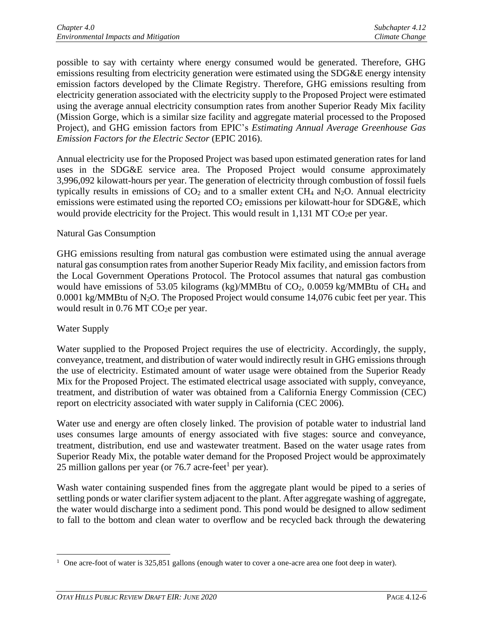possible to say with certainty where energy consumed would be generated. Therefore, GHG emissions resulting from electricity generation were estimated using the SDG&E energy intensity emission factors developed by the Climate Registry. Therefore, GHG emissions resulting from electricity generation associated with the electricity supply to the Proposed Project were estimated using the average annual electricity consumption rates from another Superior Ready Mix facility (Mission Gorge, which is a similar size facility and aggregate material processed to the Proposed Project), and GHG emission factors from EPIC's *Estimating Annual Average Greenhouse Gas Emission Factors for the Electric Sector* (EPIC 2016).

Annual electricity use for the Proposed Project was based upon estimated generation rates for land uses in the SDG&E service area. The Proposed Project would consume approximately 3,996,092 kilowatt-hours per year. The generation of electricity through combustion of fossil fuels typically results in emissions of  $CO<sub>2</sub>$  and to a smaller extent CH<sub>4</sub> and N<sub>2</sub>O. Annual electricity emissions were estimated using the reported  $CO<sub>2</sub>$  emissions per kilowatt-hour for SDG&E, which would provide electricity for the Project. This would result in  $1,131$  MT CO<sub>2</sub>e per year.

## Natural Gas Consumption

GHG emissions resulting from natural gas combustion were estimated using the annual average natural gas consumption rates from another Superior Ready Mix facility, and emission factors from the Local Government Operations Protocol. The Protocol assumes that natural gas combustion would have emissions of 53.05 kilograms (kg)/MMBtu of  $CO<sub>2</sub>$ , 0.0059 kg/MMBtu of CH<sub>4</sub> and 0.0001 kg/MMBtu of  $N_2O$ . The Proposed Project would consume 14,076 cubic feet per year. This would result in 0.76 MT CO<sub>2</sub>e per year.

## Water Supply

Water supplied to the Proposed Project requires the use of electricity. Accordingly, the supply, conveyance, treatment, and distribution of water would indirectly result in GHG emissions through the use of electricity. Estimated amount of water usage were obtained from the Superior Ready Mix for the Proposed Project. The estimated electrical usage associated with supply, conveyance, treatment, and distribution of water was obtained from a California Energy Commission (CEC) report on electricity associated with water supply in California (CEC 2006).

Water use and energy are often closely linked. The provision of potable water to industrial land uses consumes large amounts of energy associated with five stages: source and conveyance, treatment, distribution, end use and wastewater treatment. Based on the water usage rates from Superior Ready Mix, the potable water demand for the Proposed Project would be approximately 25 million gallons per year (or  $76.7$  acre-feet<sup>1</sup> per year).

Wash water containing suspended fines from the aggregate plant would be piped to a series of settling ponds or water clarifier system adjacent to the plant. After aggregate washing of aggregate, the water would discharge into a sediment pond. This pond would be designed to allow sediment to fall to the bottom and clean water to overflow and be recycled back through the dewatering

<sup>&</sup>lt;sup>1</sup> One acre-foot of water is  $325,851$  gallons (enough water to cover a one-acre area one foot deep in water).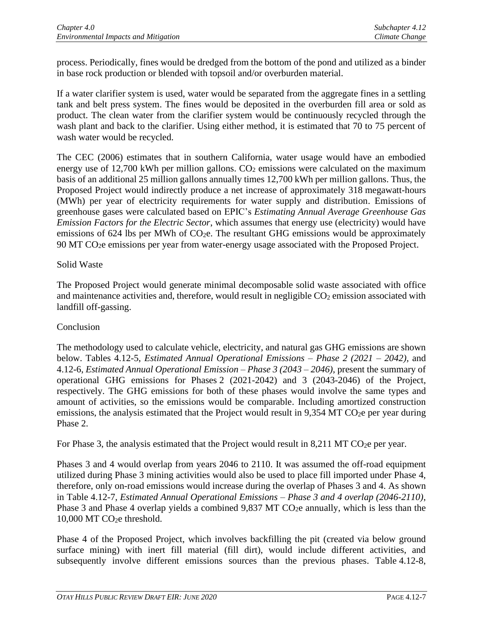process. Periodically, fines would be dredged from the bottom of the pond and utilized as a binder in base rock production or blended with topsoil and/or overburden material.

If a water clarifier system is used, water would be separated from the aggregate fines in a settling tank and belt press system. The fines would be deposited in the overburden fill area or sold as product. The clean water from the clarifier system would be continuously recycled through the wash plant and back to the clarifier. Using either method, it is estimated that 70 to 75 percent of wash water would be recycled.

The CEC (2006) estimates that in southern California, water usage would have an embodied energy use of  $12,700$  kWh per million gallons.  $CO<sub>2</sub>$  emissions were calculated on the maximum basis of an additional 25 million gallons annually times 12,700 kWh per million gallons. Thus, the Proposed Project would indirectly produce a net increase of approximately 318 megawatt-hours (MWh) per year of electricity requirements for water supply and distribution. Emissions of greenhouse gases were calculated based on EPIC's *Estimating Annual Average Greenhouse Gas Emission Factors for the Electric Sector*, which assumes that energy use (electricity) would have emissions of 624 lbs per MWh of  $CO<sub>2</sub>e$ . The resultant GHG emissions would be approximately 90 MT CO2e emissions per year from water-energy usage associated with the Proposed Project.

#### Solid Waste

The Proposed Project would generate minimal decomposable solid waste associated with office and maintenance activities and, therefore, would result in negligible  $CO<sub>2</sub>$  emission associated with landfill off-gassing.

#### **Conclusion**

The methodology used to calculate vehicle, electricity, and natural gas GHG emissions are shown below. Tables 4.12-5, *Estimated Annual Operational Emissions – Phase 2 (2021 – 2042),* and 4.12-6, *Estimated Annual Operational Emission – Phase 3 (2043 – 2046),* present the summary of operational GHG emissions for Phases 2 (2021-2042) and 3 (2043-2046) of the Project, respectively. The GHG emissions for both of these phases would involve the same types and amount of activities, so the emissions would be comparable. Including amortized construction emissions, the analysis estimated that the Project would result in  $9,354$  MT CO<sub>2</sub>e per year during Phase 2.

For Phase 3, the analysis estimated that the Project would result in  $8,211$  MT CO<sub>2</sub>e per year.

Phases 3 and 4 would overlap from years 2046 to 2110. It was assumed the off-road equipment utilized during Phase 3 mining activities would also be used to place fill imported under Phase 4, therefore, only on-road emissions would increase during the overlap of Phases 3 and 4. As shown in Table 4.12-7, *Estimated Annual Operational Emissions – Phase 3 and 4 overlap (2046-2110)*, Phase 3 and Phase 4 overlap yields a combined  $9,837$  MT CO<sub>2</sub>e annually, which is less than the 10,000 MT CO<sub>2</sub>e threshold.

Phase 4 of the Proposed Project, which involves backfilling the pit (created via below ground surface mining) with inert fill material (fill dirt), would include different activities, and subsequently involve different emissions sources than the previous phases. Table 4.12-8,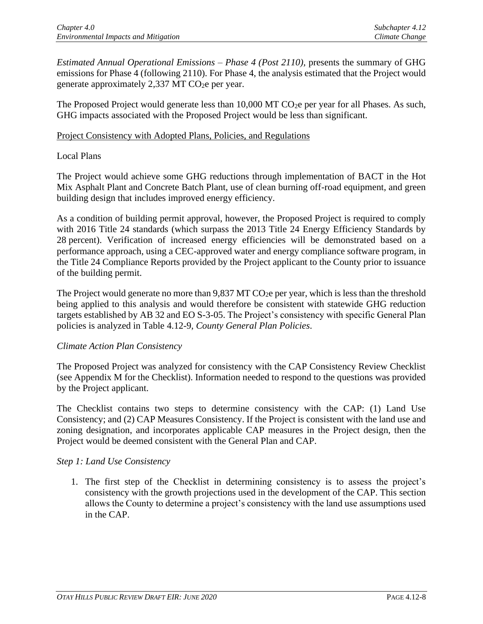*Estimated Annual Operational Emissions – Phase 4 (Post 2110),* presents the summary of GHG emissions for Phase 4 (following 2110). For Phase 4, the analysis estimated that the Project would generate approximately 2,337 MT  $CO<sub>2</sub>e$  per year.

The Proposed Project would generate less than  $10,000$  MT CO<sub>2</sub>e per year for all Phases. As such, GHG impacts associated with the Proposed Project would be less than significant.

#### Project Consistency with Adopted Plans, Policies, and Regulations

### Local Plans

The Project would achieve some GHG reductions through implementation of BACT in the Hot Mix Asphalt Plant and Concrete Batch Plant, use of clean burning off-road equipment, and green building design that includes improved energy efficiency.

As a condition of building permit approval, however, the Proposed Project is required to comply with 2016 Title 24 standards (which surpass the 2013 Title 24 Energy Efficiency Standards by 28 percent). Verification of increased energy efficiencies will be demonstrated based on a performance approach, using a CEC-approved water and energy compliance software program, in the Title 24 Compliance Reports provided by the Project applicant to the County prior to issuance of the building permit.

The Project would generate no more than  $9,837$  MT CO<sub>2</sub>e per year, which is less than the threshold being applied to this analysis and would therefore be consistent with statewide GHG reduction targets established by AB 32 and EO S-3-05. The Project's consistency with specific General Plan policies is analyzed in Table 4.12-9, *County General Plan Policies*.

#### *Climate Action Plan Consistency*

The Proposed Project was analyzed for consistency with the CAP Consistency Review Checklist (see Appendix M for the Checklist). Information needed to respond to the questions was provided by the Project applicant.

The Checklist contains two steps to determine consistency with the CAP: (1) Land Use Consistency; and (2) CAP Measures Consistency. If the Project is consistent with the land use and zoning designation, and incorporates applicable CAP measures in the Project design, then the Project would be deemed consistent with the General Plan and CAP.

## *Step 1: Land Use Consistency*

1. The first step of the Checklist in determining consistency is to assess the project's consistency with the growth projections used in the development of the CAP. This section allows the County to determine a project's consistency with the land use assumptions used in the CAP.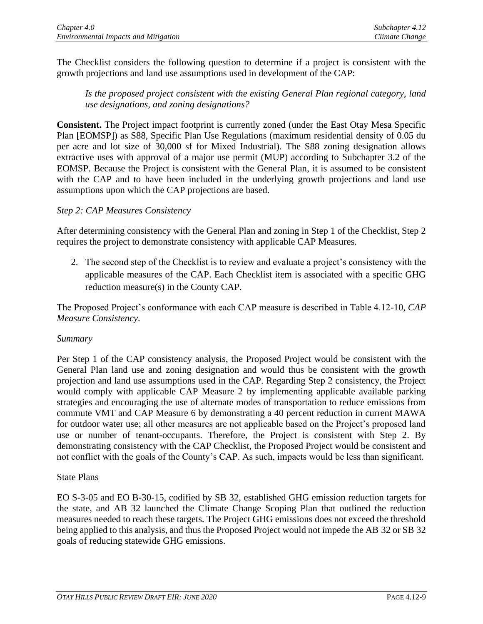The Checklist considers the following question to determine if a project is consistent with the growth projections and land use assumptions used in development of the CAP:

*Is the proposed project consistent with the existing General Plan regional category, land use designations, and zoning designations?*

**Consistent.** The Project impact footprint is currently zoned (under the East Otay Mesa Specific Plan [EOMSP]) as S88, Specific Plan Use Regulations (maximum residential density of 0.05 du per acre and lot size of 30,000 sf for Mixed Industrial). The S88 zoning designation allows extractive uses with approval of a major use permit (MUP) according to Subchapter 3.2 of the EOMSP. Because the Project is consistent with the General Plan, it is assumed to be consistent with the CAP and to have been included in the underlying growth projections and land use assumptions upon which the CAP projections are based.

#### *Step 2: CAP Measures Consistency*

After determining consistency with the General Plan and zoning in Step 1 of the Checklist, Step 2 requires the project to demonstrate consistency with applicable CAP Measures.

2. The second step of the Checklist is to review and evaluate a project's consistency with the applicable measures of the CAP. Each Checklist item is associated with a specific GHG reduction measure(s) in the County CAP.

The Proposed Project's conformance with each CAP measure is described in Table 4.12-10, *CAP Measure Consistency*.

#### *Summary*

Per Step 1 of the CAP consistency analysis, the Proposed Project would be consistent with the General Plan land use and zoning designation and would thus be consistent with the growth projection and land use assumptions used in the CAP. Regarding Step 2 consistency, the Project would comply with applicable CAP Measure 2 by implementing applicable available parking strategies and encouraging the use of alternate modes of transportation to reduce emissions from commute VMT and CAP Measure 6 by demonstrating a 40 percent reduction in current MAWA for outdoor water use; all other measures are not applicable based on the Project's proposed land use or number of tenant-occupants. Therefore, the Project is consistent with Step 2. By demonstrating consistency with the CAP Checklist, the Proposed Project would be consistent and not conflict with the goals of the County's CAP. As such, impacts would be less than significant.

#### State Plans

EO S-3-05 and EO B-30-15, codified by SB 32, established GHG emission reduction targets for the state, and AB 32 launched the Climate Change Scoping Plan that outlined the reduction measures needed to reach these targets. The Project GHG emissions does not exceed the threshold being applied to this analysis, and thus the Proposed Project would not impede the AB 32 or SB 32 goals of reducing statewide GHG emissions.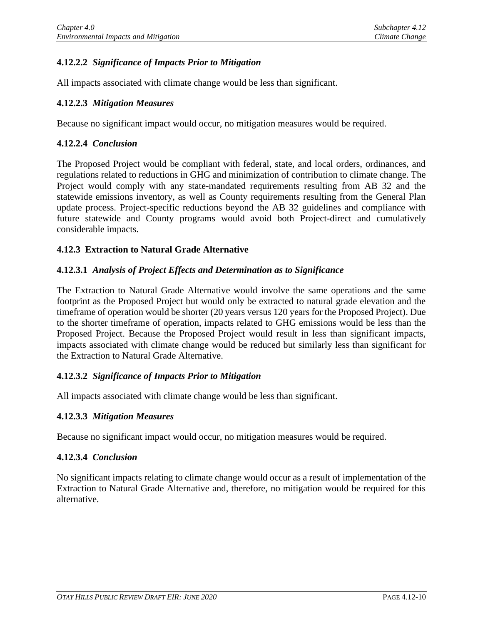# **4.12.2.2** *Significance of Impacts Prior to Mitigation*

All impacts associated with climate change would be less than significant.

### **4.12.2.3** *Mitigation Measures*

Because no significant impact would occur, no mitigation measures would be required.

## **4.12.2.4** *Conclusion*

The Proposed Project would be compliant with federal, state, and local orders, ordinances, and regulations related to reductions in GHG and minimization of contribution to climate change. The Project would comply with any state-mandated requirements resulting from AB 32 and the statewide emissions inventory, as well as County requirements resulting from the General Plan update process. Project-specific reductions beyond the AB 32 guidelines and compliance with future statewide and County programs would avoid both Project-direct and cumulatively considerable impacts.

## **4.12.3 Extraction to Natural Grade Alternative**

## **4.12.3.1** *Analysis of Project Effects and Determination as to Significance*

The Extraction to Natural Grade Alternative would involve the same operations and the same footprint as the Proposed Project but would only be extracted to natural grade elevation and the timeframe of operation would be shorter (20 years versus 120 years for the Proposed Project). Due to the shorter timeframe of operation, impacts related to GHG emissions would be less than the Proposed Project. Because the Proposed Project would result in less than significant impacts, impacts associated with climate change would be reduced but similarly less than significant for the Extraction to Natural Grade Alternative.

#### **4.12.3.2** *Significance of Impacts Prior to Mitigation*

All impacts associated with climate change would be less than significant.

#### **4.12.3.3** *Mitigation Measures*

Because no significant impact would occur, no mitigation measures would be required.

#### **4.12.3.4** *Conclusion*

No significant impacts relating to climate change would occur as a result of implementation of the Extraction to Natural Grade Alternative and, therefore, no mitigation would be required for this alternative.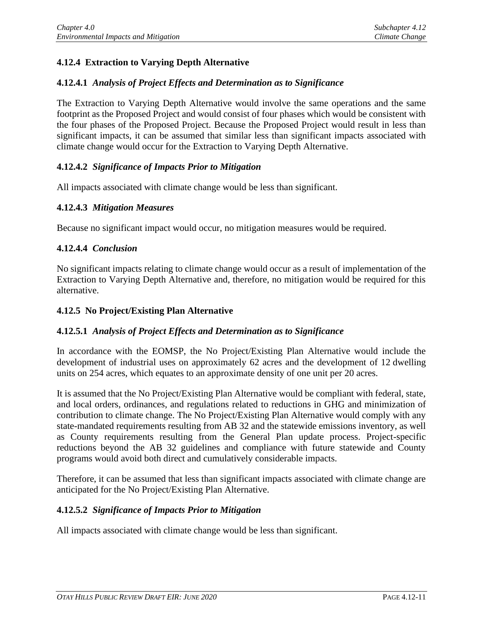# **4.12.4 Extraction to Varying Depth Alternative**

## **4.12.4.1** *Analysis of Project Effects and Determination as to Significance*

The Extraction to Varying Depth Alternative would involve the same operations and the same footprint as the Proposed Project and would consist of four phases which would be consistent with the four phases of the Proposed Project. Because the Proposed Project would result in less than significant impacts, it can be assumed that similar less than significant impacts associated with climate change would occur for the Extraction to Varying Depth Alternative.

#### **4.12.4.2** *Significance of Impacts Prior to Mitigation*

All impacts associated with climate change would be less than significant.

#### **4.12.4.3** *Mitigation Measures*

Because no significant impact would occur, no mitigation measures would be required.

#### **4.12.4.4** *Conclusion*

No significant impacts relating to climate change would occur as a result of implementation of the Extraction to Varying Depth Alternative and, therefore, no mitigation would be required for this alternative.

#### **4.12.5 No Project/Existing Plan Alternative**

#### **4.12.5.1** *Analysis of Project Effects and Determination as to Significance*

In accordance with the EOMSP, the No Project/Existing Plan Alternative would include the development of industrial uses on approximately 62 acres and the development of 12 dwelling units on 254 acres, which equates to an approximate density of one unit per 20 acres.

It is assumed that the No Project/Existing Plan Alternative would be compliant with federal, state, and local orders, ordinances, and regulations related to reductions in GHG and minimization of contribution to climate change. The No Project/Existing Plan Alternative would comply with any state-mandated requirements resulting from AB 32 and the statewide emissions inventory, as well as County requirements resulting from the General Plan update process. Project-specific reductions beyond the AB 32 guidelines and compliance with future statewide and County programs would avoid both direct and cumulatively considerable impacts.

Therefore, it can be assumed that less than significant impacts associated with climate change are anticipated for the No Project/Existing Plan Alternative.

#### **4.12.5.2** *Significance of Impacts Prior to Mitigation*

All impacts associated with climate change would be less than significant.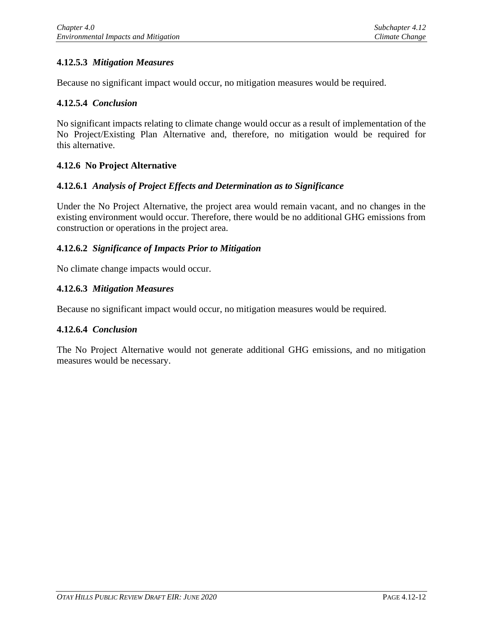# **4.12.5.3** *Mitigation Measures*

Because no significant impact would occur, no mitigation measures would be required.

## **4.12.5.4** *Conclusion*

No significant impacts relating to climate change would occur as a result of implementation of the No Project/Existing Plan Alternative and, therefore, no mitigation would be required for this alternative.

## **4.12.6 No Project Alternative**

## **4.12.6.1** *Analysis of Project Effects and Determination as to Significance*

Under the No Project Alternative, the project area would remain vacant, and no changes in the existing environment would occur. Therefore, there would be no additional GHG emissions from construction or operations in the project area.

## **4.12.6.2** *Significance of Impacts Prior to Mitigation*

No climate change impacts would occur.

## **4.12.6.3** *Mitigation Measures*

Because no significant impact would occur, no mitigation measures would be required.

#### **4.12.6.4** *Conclusion*

The No Project Alternative would not generate additional GHG emissions, and no mitigation measures would be necessary.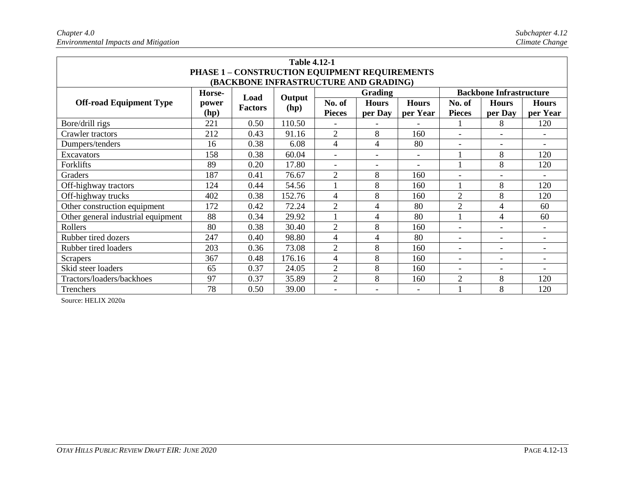#### *Chapter 4.0 Subchapter 4.12 Environmental Impacts and Mitigation Climate Change*

| <b>Table 4.12-1</b>                                                     |               |                |        |                          |                                |                          |                          |                          |                          |
|-------------------------------------------------------------------------|---------------|----------------|--------|--------------------------|--------------------------------|--------------------------|--------------------------|--------------------------|--------------------------|
| <b>PHASE 1 - CONSTRUCTION EQUIPMENT REQUIREMENTS</b>                    |               |                |        |                          |                                |                          |                          |                          |                          |
| (BACKBONE INFRASTRUCTURE AND GRADING)<br><b>Backbone Infrastructure</b> |               |                |        |                          |                                |                          |                          |                          |                          |
|                                                                         | Horse-        | Load           | Output |                          | <b>Grading</b><br><b>Hours</b> | <b>Hours</b>             |                          | <b>Hours</b>             |                          |
| <b>Off-road Equipment Type</b>                                          | power<br>(hp) | <b>Factors</b> | (hp)   | No. of<br><b>Pieces</b>  | per Day                        | per Year                 | No. of<br><b>Pieces</b>  | per Day                  | <b>Hours</b><br>per Year |
| Bore/drill rigs                                                         | 221           | 0.50           | 110.50 |                          |                                |                          |                          | 8                        | 120                      |
| Crawler tractors                                                        | 212           | 0.43           | 91.16  | $\overline{2}$           | 8                              | 160                      | $\overline{a}$           |                          |                          |
| Dumpers/tenders                                                         | 16            | 0.38           | 6.08   | 4                        | 4                              | 80                       |                          | $\overline{\phantom{0}}$ |                          |
| Excavators                                                              | 158           | 0.38           | 60.04  |                          |                                | $\overline{\phantom{0}}$ |                          | 8                        | 120                      |
| Forklifts                                                               | 89            | 0.20           | 17.80  | $\overline{\phantom{a}}$ |                                | $\overline{\phantom{0}}$ |                          | 8                        | 120                      |
| Graders                                                                 | 187           | 0.41           | 76.67  | $\overline{2}$           | 8                              | 160                      | $\overline{\phantom{0}}$ |                          |                          |
| Off-highway tractors                                                    | 124           | 0.44           | 54.56  |                          | 8                              | 160                      |                          | 8                        | 120                      |
| Off-highway trucks                                                      | 402           | 0.38           | 152.76 | 4                        | 8                              | 160                      | $\overline{2}$           | 8                        | 120                      |
| Other construction equipment                                            | 172           | 0.42           | 72.24  | $\overline{2}$           | 4                              | 80                       | $\overline{2}$           | 4                        | 60                       |
| Other general industrial equipment                                      | 88            | 0.34           | 29.92  |                          | 4                              | 80                       |                          | $\overline{4}$           | 60                       |
| Rollers                                                                 | 80            | 0.38           | 30.40  | $\overline{2}$           | 8                              | 160                      | $\overline{\phantom{0}}$ | $\overline{\phantom{0}}$ |                          |
| Rubber tired dozers                                                     | 247           | 0.40           | 98.80  | 4                        | 4                              | 80                       | $\overline{\phantom{0}}$ |                          |                          |
| Rubber tired loaders                                                    | 203           | 0.36           | 73.08  | $\overline{2}$           | 8                              | 160                      | $\overline{a}$           | $\overline{a}$           | $\overline{\phantom{0}}$ |
| Scrapers                                                                | 367           | 0.48           | 176.16 | 4                        | 8                              | 160                      | $\overline{a}$           | $\overline{\phantom{a}}$ | $\overline{\phantom{a}}$ |
| Skid steer loaders                                                      | 65            | 0.37           | 24.05  | 2                        | 8                              | 160                      | $\overline{\phantom{0}}$ |                          |                          |
| Tractors/loaders/backhoes                                               | 97            | 0.37           | 35.89  | $\overline{2}$           | 8                              | 160                      | $\overline{2}$           | 8                        | 120                      |
| Trenchers                                                               | 78            | 0.50           | 39.00  |                          |                                |                          |                          | 8                        | 120                      |

Source: HELIX 2020a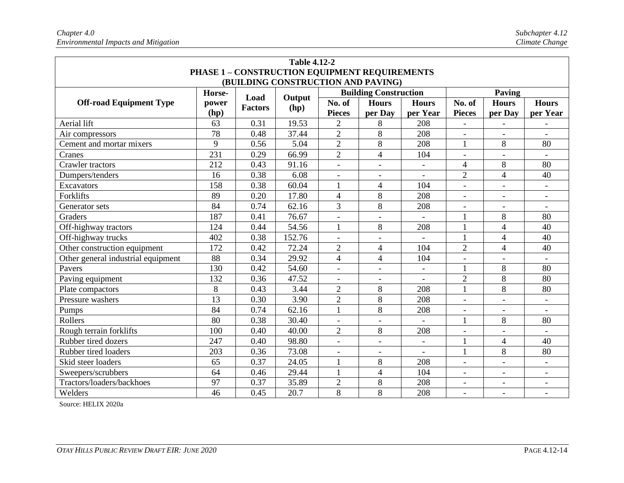#### *Chapter 4.0 Subchapter 4.12 Environmental Impacts and Mitigation Climate Change*

| <b>Table 4.12-2</b>                                                |                 |                |        |                          |                          |                          |                          |                          |                          |
|--------------------------------------------------------------------|-----------------|----------------|--------|--------------------------|--------------------------|--------------------------|--------------------------|--------------------------|--------------------------|
| <b>PHASE 1 - CONSTRUCTION EQUIPMENT REQUIREMENTS</b>               |                 |                |        |                          |                          |                          |                          |                          |                          |
| (BUILDING CONSTRUCTION AND PAVING)<br><b>Building Construction</b> |                 |                |        |                          |                          |                          |                          |                          |                          |
|                                                                    | Horse-          | Load           | Output |                          |                          |                          |                          | Paving                   |                          |
| <b>Off-road Equipment Type</b>                                     | power<br>(hp)   | <b>Factors</b> | (hp)   | No. of<br><b>Pieces</b>  | <b>Hours</b><br>per Day  | <b>Hours</b><br>per Year | No. of<br><b>Pieces</b>  | <b>Hours</b><br>per Day  | <b>Hours</b><br>per Year |
| Aerial lift                                                        | 63              | 0.31           | 19.53  | $\overline{2}$           | 8                        | 208                      |                          |                          |                          |
| Air compressors                                                    | 78              | 0.48           | 37.44  | $\overline{2}$           | 8                        | 208                      | $\blacksquare$           | $\overline{\phantom{a}}$ | L.                       |
| Cement and mortar mixers                                           | 9               | 0.56           | 5.04   | $\overline{2}$           | 8                        | 208                      |                          | 8                        | 80                       |
| Cranes                                                             | 231             | 0.29           | 66.99  | $\overline{2}$           | $\overline{4}$           | 104                      | $\blacksquare$           |                          |                          |
| Crawler tractors                                                   | 212             | 0.43           | 91.16  | $\blacksquare$           | $\overline{\phantom{a}}$ | $\overline{a}$           | 4                        | 8                        | 80                       |
| Dumpers/tenders                                                    | $\overline{16}$ | 0.38           | 6.08   | $\overline{a}$           | ÷                        |                          | $\overline{2}$           | $\overline{4}$           | $\overline{40}$          |
| Excavators                                                         | 158             | 0.38           | 60.04  |                          | $\overline{4}$           | 104                      | $\overline{\phantom{a}}$ | $\overline{\phantom{a}}$ | $\overline{\phantom{a}}$ |
| Forklifts                                                          | $\overline{89}$ | 0.20           | 17.80  | $\overline{4}$           | 8                        | 208                      | $\blacksquare$           | $\overline{a}$           | $\overline{a}$           |
| Generator sets                                                     | 84              | 0.74           | 62.16  | 3                        | 8                        | 208                      | $\overline{\phantom{a}}$ | $\overline{a}$           | $\overline{a}$           |
| Graders                                                            | 187             | 0.41           | 76.67  |                          |                          |                          |                          | 8                        | 80                       |
| Off-highway tractors                                               | 124             | 0.44           | 54.56  | $\mathbf{1}$             | $8\,$                    | 208                      |                          | $\overline{4}$           | 40                       |
| Off-highway trucks                                                 | 402             | 0.38           | 152.76 | $\sim$                   | ۰                        | $\overline{a}$           | 1                        | $\overline{4}$           | 40                       |
| Other construction equipment                                       | 172             | 0.42           | 72.24  | $\overline{2}$           | $\overline{4}$           | 104                      | $\overline{2}$           | $\overline{4}$           | 40                       |
| Other general industrial equipment                                 | 88              | 0.34           | 29.92  | $\overline{4}$           | $\overline{4}$           | 104                      | $\overline{\phantom{a}}$ | $\overline{\phantom{a}}$ | $\overline{\phantom{a}}$ |
| Pavers                                                             | 130             | 0.42           | 54.60  | $\overline{a}$           | $\overline{\phantom{0}}$ | $\overline{a}$           |                          | 8                        | 80                       |
| Paving equipment                                                   | 132             | 0.36           | 47.52  | $\overline{\phantom{a}}$ | $\overline{\phantom{a}}$ |                          | $\overline{c}$           | 8                        | 80                       |
| Plate compactors                                                   | 8               | 0.43           | 3.44   | $\overline{2}$           | 8                        | 208                      |                          | 8                        | 80                       |
| Pressure washers                                                   | 13              | 0.30           | 3.90   | $\overline{2}$           | 8                        | 208                      | $\overline{a}$           | $\overline{a}$           | $\overline{\phantom{a}}$ |
| Pumps                                                              | 84              | 0.74           | 62.16  | 1                        | 8                        | 208                      | $\blacksquare$           | $\overline{a}$           |                          |
| Rollers                                                            | 80              | 0.38           | 30.40  | $\blacksquare$           | $\overline{\phantom{a}}$ | $\overline{a}$           |                          | 8                        | 80                       |
| Rough terrain forklifts                                            | 100             | 0.40           | 40.00  | $\overline{2}$           | 8                        | 208                      | $\overline{\phantom{a}}$ | $\overline{\phantom{a}}$ | $\overline{\phantom{a}}$ |
| Rubber tired dozers                                                | 247             | 0.40           | 98.80  | $\overline{\phantom{a}}$ | $\overline{a}$           | $\overline{a}$           |                          | $\overline{4}$           | 40                       |
| Rubber tired loaders                                               | 203             | 0.36           | 73.08  | $\overline{\phantom{a}}$ | $\overline{\phantom{a}}$ | $\overline{a}$           |                          | 8                        | 80                       |
| Skid steer loaders                                                 | 65              | 0.37           | 24.05  |                          | 8                        | 208                      |                          |                          | $\overline{a}$           |
| Sweepers/scrubbers                                                 | 64              | 0.46           | 29.44  |                          | $\overline{4}$           | 104                      | $\blacksquare$           | $\blacksquare$           | $\overline{\phantom{a}}$ |
| Tractors/loaders/backhoes                                          | 97              | 0.37           | 35.89  | $\overline{2}$           | 8                        | 208                      | $\overline{a}$           | $\overline{a}$           | $\overline{a}$           |
| Welders                                                            | 46              | 0.45           | 20.7   | 8                        | 8                        | 208                      |                          | $\overline{a}$           | L.                       |

Source: HELIX 2020a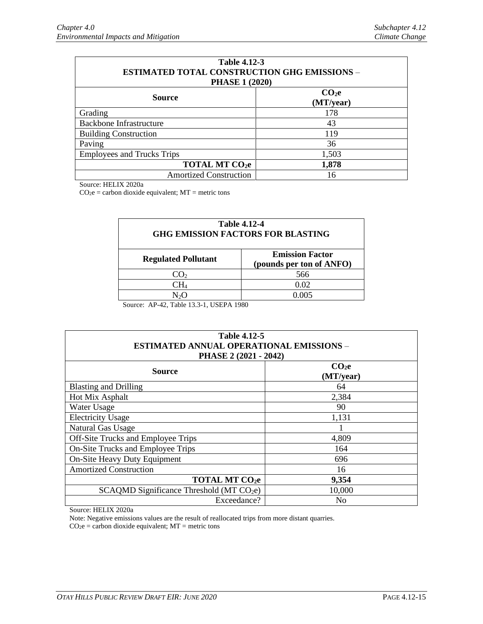| <b>Table 4.12-3</b>                                 |                                |  |  |  |  |
|-----------------------------------------------------|--------------------------------|--|--|--|--|
| <b>ESTIMATED TOTAL CONSTRUCTION GHG EMISSIONS -</b> |                                |  |  |  |  |
| <b>PHASE 1 (2020)</b>                               |                                |  |  |  |  |
| <b>Source</b>                                       | CO <sub>2</sub> e<br>(MT/year) |  |  |  |  |
| Grading                                             | 178                            |  |  |  |  |
| <b>Backbone Infrastructure</b>                      | 43                             |  |  |  |  |
| <b>Building Construction</b>                        | 119                            |  |  |  |  |
| Paving                                              | 36                             |  |  |  |  |
| <b>Employees and Trucks Trips</b>                   | 1,503                          |  |  |  |  |
| <b>TOTAL MT CO2e</b>                                | 1,878                          |  |  |  |  |
| <b>Amortized Construction</b>                       | 16                             |  |  |  |  |

Source: HELIX 2020a

 $CO<sub>2</sub>e =$  carbon dioxide equivalent;  $MT =$  metric tons

| <b>Table 4.12-4</b><br><b>GHG EMISSION FACTORS FOR BLASTING</b> |                                                    |  |  |
|-----------------------------------------------------------------|----------------------------------------------------|--|--|
| <b>Regulated Pollutant</b>                                      | <b>Emission Factor</b><br>(pounds per ton of ANFO) |  |  |
| CO <sub>2</sub>                                                 | 566                                                |  |  |
| CH4                                                             | 0.02                                               |  |  |
| NΩ                                                              | 0.005                                              |  |  |

Source: AP-42, Table 13.3-1, USEPA 1980

| <b>Table 4.12-5</b><br><b>ESTIMATED ANNUAL OPERATIONAL EMISSIONS -</b><br>PHASE 2 (2021 - 2042) |                                |  |  |  |
|-------------------------------------------------------------------------------------------------|--------------------------------|--|--|--|
| Source                                                                                          | CO <sub>2</sub> e<br>(MT/year) |  |  |  |
| <b>Blasting and Drilling</b>                                                                    | 64                             |  |  |  |
| Hot Mix Asphalt                                                                                 | 2,384                          |  |  |  |
| Water Usage                                                                                     | 90                             |  |  |  |
| <b>Electricity Usage</b>                                                                        | 1,131                          |  |  |  |
| Natural Gas Usage                                                                               |                                |  |  |  |
| Off-Site Trucks and Employee Trips                                                              | 4,809                          |  |  |  |
| On-Site Trucks and Employee Trips                                                               | 164                            |  |  |  |
| On-Site Heavy Duty Equipment                                                                    | 696                            |  |  |  |
| <b>Amortized Construction</b>                                                                   | 16                             |  |  |  |
| <b>TOTAL MT CO2e</b>                                                                            | 9,354                          |  |  |  |
| $SCAQMD$ Significance Threshold (MT $CO2e$ )                                                    | 10,000                         |  |  |  |
| Exceedance?                                                                                     | N <sub>0</sub>                 |  |  |  |

Source: HELIX 2020a

Note: Negative emissions values are the result of reallocated trips from more distant quarries.

 $CO<sub>2</sub>e =$  carbon dioxide equivalent;  $MT =$  metric tons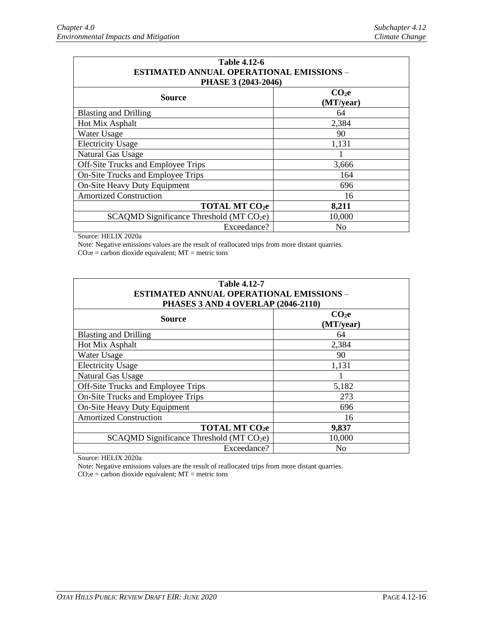| <b>Table 4.12-6</b><br><b>ESTIMATED ANNUAL OPERATIONAL EMISSIONS -</b><br>PHASE 3 (2043-2046) |                                |  |  |  |
|-----------------------------------------------------------------------------------------------|--------------------------------|--|--|--|
| <b>Source</b>                                                                                 | CO <sub>2</sub> e<br>(MT/year) |  |  |  |
| <b>Blasting and Drilling</b>                                                                  | 64                             |  |  |  |
| Hot Mix Asphalt                                                                               | 2,384                          |  |  |  |
| Water Usage                                                                                   | 90                             |  |  |  |
| <b>Electricity Usage</b>                                                                      | 1,131                          |  |  |  |
| <b>Natural Gas Usage</b>                                                                      |                                |  |  |  |
| Off-Site Trucks and Employee Trips                                                            | 3,666                          |  |  |  |
| On-Site Trucks and Employee Trips                                                             | 164                            |  |  |  |
| <b>On-Site Heavy Duty Equipment</b>                                                           | 696                            |  |  |  |
| <b>Amortized Construction</b>                                                                 | 16                             |  |  |  |
| <b>TOTAL MT CO2e</b>                                                                          | 8,211                          |  |  |  |
| $SCAQMD$ Significance Threshold (MT $CO2e$ )                                                  | 10,000                         |  |  |  |
| Exceedance?                                                                                   | No                             |  |  |  |

Source: HELIX 2020a

Note: Negative emissions values are the result of reallocated trips from more distant quarries.

 $CO<sub>2</sub>e =$  carbon dioxide equivalent;  $MT =$  metric tons

| <b>Table 4.12-7</b><br><b>ESTIMATED ANNUAL OPERATIONAL EMISSIONS -</b><br>PHASES 3 AND 4 OVERLAP (2046-2110) |                                |  |  |  |
|--------------------------------------------------------------------------------------------------------------|--------------------------------|--|--|--|
| <b>Source</b>                                                                                                | CO <sub>2</sub> e<br>(MT/year) |  |  |  |
| <b>Blasting and Drilling</b>                                                                                 | 64                             |  |  |  |
| Hot Mix Asphalt                                                                                              | 2,384                          |  |  |  |
| Water Usage                                                                                                  | 90                             |  |  |  |
| <b>Electricity Usage</b>                                                                                     | 1,131                          |  |  |  |
| Natural Gas Usage                                                                                            |                                |  |  |  |
| <b>Off-Site Trucks and Employee Trips</b>                                                                    | 5,182                          |  |  |  |
| On-Site Trucks and Employee Trips                                                                            | 273                            |  |  |  |
| On-Site Heavy Duty Equipment                                                                                 | 696                            |  |  |  |
| <b>Amortized Construction</b>                                                                                | 16                             |  |  |  |
| <b>TOTAL MT CO2e</b>                                                                                         | 9,837                          |  |  |  |
| $SCAQMD$ Significance Threshold (MT $CO2e$ )                                                                 | 10,000                         |  |  |  |
| Exceedance?                                                                                                  | No                             |  |  |  |

Source: HELIX 2020a

Note: Negative emissions values are the result of reallocated trips from more distant quarries.

 $CO<sub>2</sub>e =$  carbon dioxide equivalent;  $MT =$  metric tons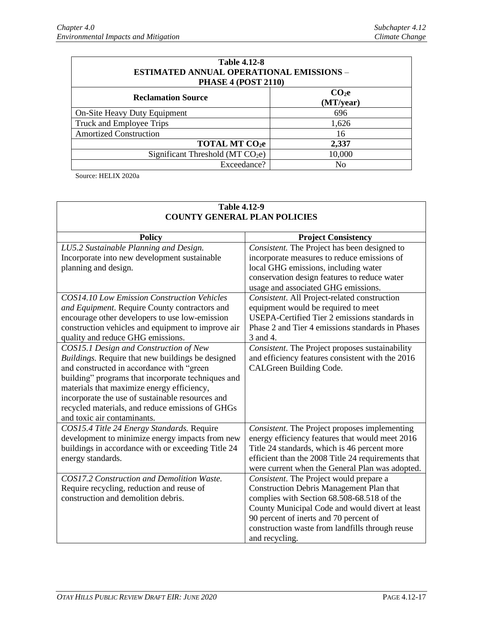| <b>Table 4.12-8</b><br><b>ESTIMATED ANNUAL OPERATIONAL EMISSIONS -</b><br><b>PHASE 4 (POST 2110)</b> |                                |  |  |  |  |
|------------------------------------------------------------------------------------------------------|--------------------------------|--|--|--|--|
| <b>Reclamation Source</b>                                                                            | CO <sub>2</sub> e<br>(MT/year) |  |  |  |  |
| On-Site Heavy Duty Equipment                                                                         | 696                            |  |  |  |  |
| Truck and Employee Trips                                                                             | 1,626                          |  |  |  |  |
| <b>Amortized Construction</b>                                                                        | 16                             |  |  |  |  |
| <b>TOTAL MT CO2e</b>                                                                                 | 2,337                          |  |  |  |  |
| Significant Threshold (MT $CO2e$ )                                                                   | 10,000                         |  |  |  |  |
| Exceedance?                                                                                          | No                             |  |  |  |  |

Source: HELIX 2020a

| <b>COUNTY GENERAL PLAN POLICIES</b>                |                                                                                               |  |  |  |
|----------------------------------------------------|-----------------------------------------------------------------------------------------------|--|--|--|
| <b>Policy</b>                                      | <b>Project Consistency</b>                                                                    |  |  |  |
| LU5.2 Sustainable Planning and Design.             | Consistent. The Project has been designed to                                                  |  |  |  |
| Incorporate into new development sustainable       | incorporate measures to reduce emissions of                                                   |  |  |  |
| planning and design.                               | local GHG emissions, including water                                                          |  |  |  |
|                                                    | conservation design features to reduce water                                                  |  |  |  |
|                                                    | usage and associated GHG emissions.                                                           |  |  |  |
| <b>COS14.10 Low Emission Construction Vehicles</b> | Consistent. All Project-related construction                                                  |  |  |  |
| and Equipment. Require County contractors and      | equipment would be required to meet                                                           |  |  |  |
| encourage other developers to use low-emission     | USEPA-Certified Tier 2 emissions standards in                                                 |  |  |  |
| construction vehicles and equipment to improve air | Phase 2 and Tier 4 emissions standards in Phases                                              |  |  |  |
| quality and reduce GHG emissions.                  | 3 and 4.                                                                                      |  |  |  |
| COS15.1 Design and Construction of New             | Consistent. The Project proposes sustainability                                               |  |  |  |
| Buildings. Require that new buildings be designed  | and efficiency features consistent with the 2016                                              |  |  |  |
| and constructed in accordance with "green          | CALGreen Building Code.                                                                       |  |  |  |
| building" programs that incorporate techniques and |                                                                                               |  |  |  |
| materials that maximize energy efficiency,         |                                                                                               |  |  |  |
| incorporate the use of sustainable resources and   |                                                                                               |  |  |  |
| recycled materials, and reduce emissions of GHGs   |                                                                                               |  |  |  |
| and toxic air contaminants.                        |                                                                                               |  |  |  |
| COS15.4 Title 24 Energy Standards. Require         | Consistent. The Project proposes implementing                                                 |  |  |  |
| development to minimize energy impacts from new    | energy efficiency features that would meet 2016                                               |  |  |  |
| buildings in accordance with or exceeding Title 24 | Title 24 standards, which is 46 percent more                                                  |  |  |  |
| energy standards.                                  | efficient than the 2008 Title 24 requirements that                                            |  |  |  |
| COS17.2 Construction and Demolition Waste.         | were current when the General Plan was adopted.                                               |  |  |  |
| Require recycling, reduction and reuse of          | Consistent. The Project would prepare a                                                       |  |  |  |
| construction and demolition debris.                | <b>Construction Debris Management Plan that</b><br>complies with Section 68.508-68.518 of the |  |  |  |
|                                                    | County Municipal Code and would divert at least                                               |  |  |  |
|                                                    | 90 percent of inerts and 70 percent of                                                        |  |  |  |
|                                                    | construction waste from landfills through reuse                                               |  |  |  |
|                                                    | and recycling.                                                                                |  |  |  |
|                                                    |                                                                                               |  |  |  |

#### **Table 4.12-9 COUNTY GENERAL PLAN POLICIES**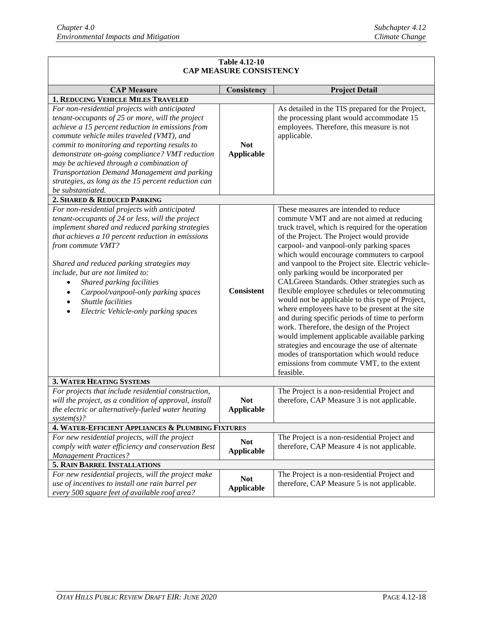| <b>Table 4.12-10</b><br><b>CAP MEASURE CONSISTENCY</b>                                                                                                                                                                                                                                                                                                                                                                                                                                   |                                 |                                                                                                                                                                                                                                                                                                                                                                                                                                                                                                                                                                                                                                                                                                                                                                                                                                                                                               |  |  |  |
|------------------------------------------------------------------------------------------------------------------------------------------------------------------------------------------------------------------------------------------------------------------------------------------------------------------------------------------------------------------------------------------------------------------------------------------------------------------------------------------|---------------------------------|-----------------------------------------------------------------------------------------------------------------------------------------------------------------------------------------------------------------------------------------------------------------------------------------------------------------------------------------------------------------------------------------------------------------------------------------------------------------------------------------------------------------------------------------------------------------------------------------------------------------------------------------------------------------------------------------------------------------------------------------------------------------------------------------------------------------------------------------------------------------------------------------------|--|--|--|
|                                                                                                                                                                                                                                                                                                                                                                                                                                                                                          |                                 |                                                                                                                                                                                                                                                                                                                                                                                                                                                                                                                                                                                                                                                                                                                                                                                                                                                                                               |  |  |  |
| <b>CAP Measure</b>                                                                                                                                                                                                                                                                                                                                                                                                                                                                       | Consistency                     | <b>Project Detail</b>                                                                                                                                                                                                                                                                                                                                                                                                                                                                                                                                                                                                                                                                                                                                                                                                                                                                         |  |  |  |
| <b>1. REDUCING VEHICLE MILES TRAVELED</b>                                                                                                                                                                                                                                                                                                                                                                                                                                                |                                 |                                                                                                                                                                                                                                                                                                                                                                                                                                                                                                                                                                                                                                                                                                                                                                                                                                                                                               |  |  |  |
| For non-residential projects with anticipated<br>tenant-occupants of 25 or more, will the project<br>achieve a 15 percent reduction in emissions from<br>commute vehicle miles traveled (VMT), and<br>commit to monitoring and reporting results to<br>demonstrate on-going compliance? VMT reduction<br>may be achieved through a combination of<br>Transportation Demand Management and parking<br>strategies, as long as the 15 percent reduction can<br>be substantiated.            | <b>Not</b><br><b>Applicable</b> | As detailed in the TIS prepared for the Project,<br>the processing plant would accommodate 15<br>employees. Therefore, this measure is not<br>applicable.                                                                                                                                                                                                                                                                                                                                                                                                                                                                                                                                                                                                                                                                                                                                     |  |  |  |
| 2. SHARED & REDUCED PARKING                                                                                                                                                                                                                                                                                                                                                                                                                                                              |                                 |                                                                                                                                                                                                                                                                                                                                                                                                                                                                                                                                                                                                                                                                                                                                                                                                                                                                                               |  |  |  |
| For non-residential projects with anticipated<br>tenant-occupants of 24 or less, will the project<br>implement shared and reduced parking strategies<br>that achieves a 10 percent reduction in emissions<br>from commute VMT?<br>Shared and reduced parking strategies may<br>include, but are not limited to:<br>Shared parking facilities<br>$\bullet$<br>Carpool/vanpool-only parking spaces<br>Shuttle facilities<br>$\bullet$<br>Electric Vehicle-only parking spaces<br>$\bullet$ | <b>Consistent</b>               | These measures are intended to reduce<br>commute VMT and are not aimed at reducing<br>truck travel, which is required for the operation<br>of the Project. The Project would provide<br>carpool- and vanpool-only parking spaces<br>which would encourage commuters to carpool<br>and vanpool to the Project site. Electric vehicle-<br>only parking would be incorporated per<br>CALGreen Standards. Other strategies such as<br>flexible employee schedules or telecommuting<br>would not be applicable to this type of Project,<br>where employees have to be present at the site<br>and during specific periods of time to perform<br>work. Therefore, the design of the Project<br>would implement applicable available parking<br>strategies and encourage the use of alternate<br>modes of transportation which would reduce<br>emissions from commute VMT, to the extent<br>feasible. |  |  |  |
| <b>3. WATER HEATING SYSTEMS</b>                                                                                                                                                                                                                                                                                                                                                                                                                                                          |                                 |                                                                                                                                                                                                                                                                                                                                                                                                                                                                                                                                                                                                                                                                                                                                                                                                                                                                                               |  |  |  |
| For projects that include residential construction,<br>will the project, as a condition of approval, install<br>the electric or alternatively-fueled water heating<br>$system(s)$ ?                                                                                                                                                                                                                                                                                                      | <b>Not</b><br><b>Applicable</b> | The Project is a non-residential Project and<br>therefore, CAP Measure 3 is not applicable.                                                                                                                                                                                                                                                                                                                                                                                                                                                                                                                                                                                                                                                                                                                                                                                                   |  |  |  |
| 4. WATER-EFFICIENT APPLIANCES & PLUMBING FIXTURES                                                                                                                                                                                                                                                                                                                                                                                                                                        |                                 |                                                                                                                                                                                                                                                                                                                                                                                                                                                                                                                                                                                                                                                                                                                                                                                                                                                                                               |  |  |  |
| For new residential projects, will the project<br>comply with water efficiency and conservation Best<br><b>Management Practices?</b>                                                                                                                                                                                                                                                                                                                                                     | <b>Not</b><br><b>Applicable</b> | The Project is a non-residential Project and<br>therefore, CAP Measure 4 is not applicable.                                                                                                                                                                                                                                                                                                                                                                                                                                                                                                                                                                                                                                                                                                                                                                                                   |  |  |  |
| 5. RAIN BARREL INSTALLATIONS                                                                                                                                                                                                                                                                                                                                                                                                                                                             |                                 |                                                                                                                                                                                                                                                                                                                                                                                                                                                                                                                                                                                                                                                                                                                                                                                                                                                                                               |  |  |  |
| For new residential projects, will the project make<br>use of incentives to install one rain barrel per<br>every 500 square feet of available roof area?                                                                                                                                                                                                                                                                                                                                 | <b>Not</b><br><b>Applicable</b> | The Project is a non-residential Project and<br>therefore, CAP Measure 5 is not applicable.                                                                                                                                                                                                                                                                                                                                                                                                                                                                                                                                                                                                                                                                                                                                                                                                   |  |  |  |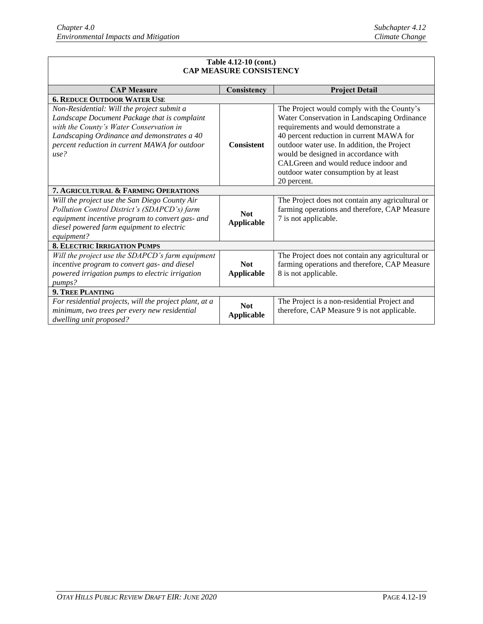| Table 4.12-10 (cont.)<br><b>CAP MEASURE CONSISTENCY</b>                                                                                                                                                                                       |                                 |                                                                                                                                                                                                                                                                                                                                                                      |  |  |  |  |
|-----------------------------------------------------------------------------------------------------------------------------------------------------------------------------------------------------------------------------------------------|---------------------------------|----------------------------------------------------------------------------------------------------------------------------------------------------------------------------------------------------------------------------------------------------------------------------------------------------------------------------------------------------------------------|--|--|--|--|
|                                                                                                                                                                                                                                               |                                 |                                                                                                                                                                                                                                                                                                                                                                      |  |  |  |  |
| <b>CAP Measure</b>                                                                                                                                                                                                                            | Consistency                     | <b>Project Detail</b>                                                                                                                                                                                                                                                                                                                                                |  |  |  |  |
| <b>6. REDUCE OUTDOOR WATER USE</b>                                                                                                                                                                                                            |                                 |                                                                                                                                                                                                                                                                                                                                                                      |  |  |  |  |
| Non-Residential: Will the project submit a<br>Landscape Document Package that is complaint<br>with the County's Water Conservation in<br>Landscaping Ordinance and demonstrates a 40<br>percent reduction in current MAWA for outdoor<br>use? | <b>Consistent</b>               | The Project would comply with the County's<br>Water Conservation in Landscaping Ordinance<br>requirements and would demonstrate a<br>40 percent reduction in current MAWA for<br>outdoor water use. In addition, the Project<br>would be designed in accordance with<br>CALGreen and would reduce indoor and<br>outdoor water consumption by at least<br>20 percent. |  |  |  |  |
| 7. AGRICULTURAL & FARMING OPERATIONS                                                                                                                                                                                                          |                                 |                                                                                                                                                                                                                                                                                                                                                                      |  |  |  |  |
| Will the project use the San Diego County Air<br>Pollution Control District's (SDAPCD's) farm<br>equipment incentive program to convert gas- and<br>diesel powered farm equipment to electric<br>equipment?                                   | <b>Not</b><br><b>Applicable</b> | The Project does not contain any agricultural or<br>farming operations and therefore, CAP Measure<br>7 is not applicable.                                                                                                                                                                                                                                            |  |  |  |  |
| <b>8. ELECTRIC IRRIGATION PUMPS</b>                                                                                                                                                                                                           |                                 |                                                                                                                                                                                                                                                                                                                                                                      |  |  |  |  |
| Will the project use the SDAPCD's farm equipment<br>incentive program to convert gas- and diesel<br>powered irrigation pumps to electric irrigation<br>pumps?                                                                                 | <b>Not</b><br><b>Applicable</b> | The Project does not contain any agricultural or<br>farming operations and therefore, CAP Measure<br>8 is not applicable.                                                                                                                                                                                                                                            |  |  |  |  |
| 9. TREE PLANTING                                                                                                                                                                                                                              |                                 |                                                                                                                                                                                                                                                                                                                                                                      |  |  |  |  |
| For residential projects, will the project plant, at a<br>minimum, two trees per every new residential<br>dwelling unit proposed?                                                                                                             | <b>Not</b><br><b>Applicable</b> | The Project is a non-residential Project and<br>therefore, CAP Measure 9 is not applicable.                                                                                                                                                                                                                                                                          |  |  |  |  |